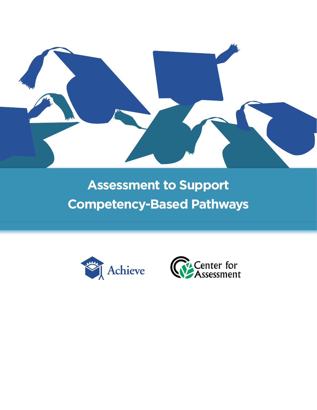

# **Assessment to Support Competency-Based Pathways**



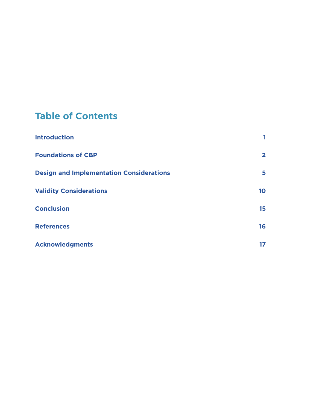# **Table of Contents**

| <b>Introduction</b>                             | 1            |
|-------------------------------------------------|--------------|
| <b>Foundations of CBP</b>                       | $\mathbf{2}$ |
| <b>Design and Implementation Considerations</b> | 5            |
| <b>Validity Considerations</b>                  | 10           |
| <b>Conclusion</b>                               | 15           |
| <b>References</b>                               | 16           |
| <b>Acknowledgments</b>                          | 17           |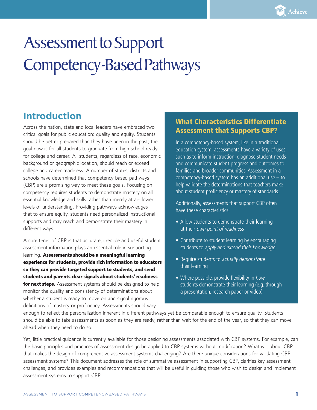# Assessment to Support Competency-Based Pathways

# **Introduction**

Across the nation, state and local leaders have embraced two critical goals for public education: quality and equity. Students should be better prepared than they have been in the past; the goal now is for all students to graduate from high school ready for college and career. All students, regardless of race, economic background or geographic location, should reach or exceed college and career readiness. A number of states, districts and schools have determined that competency-based pathways (CBP) are a promising way to meet these goals. Focusing on competency requires students to demonstrate mastery on all essential knowledge and skills rather than merely attain lower levels of understanding. Providing pathways acknowledges that to ensure equity, students need personalized instructional supports and may reach and demonstrate their mastery in different ways.

A core tenet of CBP is that accurate, credible and useful student assessment information plays an essential role in supporting learning. **Assessments should be a meaningful learning experience for students, provide rich information to educators so they can provide targeted support to students, and send students and parents clear signals about students' readiness for next steps.** Assessment systems should be designed to help monitor the quality and consistency of determinations about whether a student is ready to move on and signal rigorous definitions of mastery or proficiency. Assessments should vary

### What Characteristics Differentiate Assessment that Supports CBP?

In a competency-based system, like in a traditional education system, assessments have a variety of uses such as to inform instruction, diagnose student needs and communicate student progress and outcomes to families and broader communities. Assessment in a competency-based system has an additional use – to help validate the determinations that teachers make about student proficiency or mastery of standards.

Additionally, assessments that support CBP often have these characteristics:

- Allow students to demonstrate their learning at their own point of readiness
- Contribute to student learning by encouraging students to apply and extend their knowledge
- Require students to actually demonstrate their learning
- Where possible, provide flexibility in how students demonstrate their learning (e.g. through a presentation, research paper or video)

enough to reflect the personalization inherent in different pathways yet be comparable enough to ensure quality. Students should be able to take assessments as soon as they are ready, rather than wait for the end of the year, so that they can move ahead when they need to do so.

Yet, little practical guidance is currently available for those designing assessments associated with CBP systems. For example, can the basic principles and practices of assessment design be applied to CBP systems without modification? What is it about CBP that makes the design of comprehensive assessment systems challenging? Are there unique considerations for validating CBP assessment systems? This document addresses the role of summative assessment in supporting CBP, clarifies key assessment challenges, and provides examples and recommendations that will be useful in guiding those who wish to design and implement assessment systems to support CBP.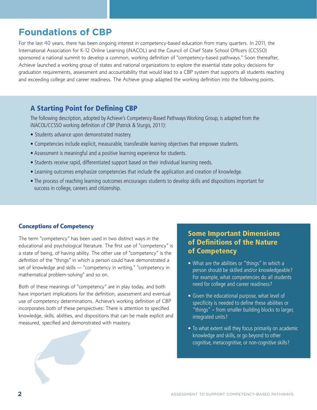# **Foundations of CBP**

For the last 40 years, there has been ongoing interest in competency-based education from many quarters. In 2011, the International Association for K-12 Online Learning (iNACOL) and the Council of Chief State School Officers (CCSSO) sponsored a national summit to develop a common, working definition of "competency-based pathways." Soon thereafter, Achieve launched a working group of states and national organizations to explore the essential state policy decisions for graduation requirements, assessment and accountability that would lead to a CBP system that supports all students reaching and exceeding college and career readiness. The Achieve group adapted the working definition into the following points.

### A Starting Point for Defining CBP

The following description, adopted by Achieve's Competency-Based Pathways Working Group, is adapted from the iNACOL/CCSSO working definition of CBP (Patrick & Sturgis, 2011):

- Students advance upon demonstrated mastery.
- Competencies include explicit, measurable, transferable learning objectives that empower students.
- Assessment is meaningful and a positive learning experience for students.
- Students receive rapid, differentiated support based on their individual learning needs.
- Learning outcomes emphasize competencies that include the application and creation of knowledge.
- The process of reaching learning outcomes encourages students to develop skills and dispositions important for success in college, careers and citizenship.

#### **Conceptions of Competency**

The term "competency" has been used in two distinct ways in the educational and psychological literature. The first use of "competency" is a state of being, of having ability. The other use of "competency" is the definition of the "things" in which a person could have demonstrated a set of knowledge and skills — "competency in writing," "competency in mathematical problem-solving" and so on.

Both of these meanings of "competency" are in play today, and both have important implications for the definition, assessment and eventual use of competency determinations. Achieve's working definition of CBP incorporates both of these perspectives: There is attention to specified knowledge, skills, abilities, and dispositions that can be made explicit and measured, specified and demonstrated with mastery.



- What are the abilities or "things" in which a person should be skilled and/or knowledgeable? For example, what competencies do all students need for college and career readiness?
- Given the educational purpose, what level of specificity is needed to define these abilities or "things" – from smaller building blocks to larger, integrated units?
- To what extent will they focus primarily on academic knowledge and skills, or go beyond to other cognitive, metacognitive, or non-cognitive skills?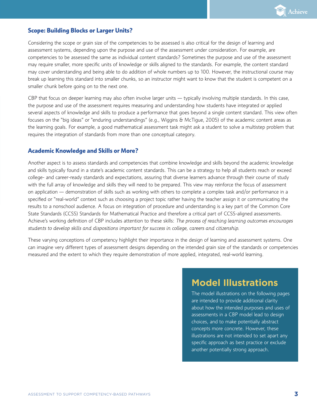

#### **Scope: Building Blocks or Larger Units?**

Considering the scope or grain size of the competencies to be assessed is also critical for the design of learning and assessment systems, depending upon the purpose and use of the assessment under consideration. For example, are competencies to be assessed the same as individual content standards? Sometimes the purpose and use of the assessment may require smaller, more specific units of knowledge or skills aligned to the standards. For example, the content standard may cover understanding and being able to do addition of whole numbers up to 100. However, the instructional course may break up learning this standard into smaller chunks, so an instructor might want to know that the student is competent on a smaller chunk before going on to the next one.

CBP that focus on deeper learning may also often involve larger units — typically involving multiple standards. In this case, the purpose and use of the assessment requires measuring and understanding how students have integrated or applied several aspects of knowledge and skills to produce a performance that goes beyond a single content standard. This view often focuses on the "big ideas" or "enduring understandings" (e.g., Wiggins & McTigue, 2005) of the academic content areas as the learning goals. For example, a good mathematical assessment task might ask a student to solve a multistep problem that requires the integration of standards from more than one conceptual category.

#### **Academic Knowledge and Skills or More?**

Another aspect is to assess standards and competencies that combine knowledge and skills beyond the academic knowledge and skills typically found in a state's academic content standards. This can be a strategy to help all students reach or exceed college- and career-ready standards and expectations, assuring that diverse learners advance through their course of study with the full array of knowledge and skills they will need to be prepared. This view may reinforce the focus of assessment on application — demonstration of skills such as working with others to complete a complex task and/or performance in a specified or "real-world" context such as choosing a project topic rather having the teacher assign it or communicating the results to a nonschool audience. A focus on integration of procedure and understanding is a key part of the Common Core State Standards (CCSS) Standards for Mathematical Practice and therefore a critical part of CCSS-aligned assessments. Achieve's working definition of CBP includes attention to these skills: *The process of reaching learning outcomes encourages students to develop skills and dispositions important for success in college, careers and citizenship.* 

These varying conceptions of competency highlight their importance in the design of learning and assessment systems. One can imagine very different types of assessment designs depending on the intended grain size of the standards or competencies measured and the extent to which they require demonstration of more applied, integrated, real-world learning.

## **Model Illustrations**

The model illustrations on the following pages are intended to provide additional clarity about how the intended purposes and uses of assessments in a CBP model lead to design choices, and to make potentially abstract concepts more concrete. However, these illustrations are not intended to set apart any specific approach as best practice or exclude another potentially strong approach.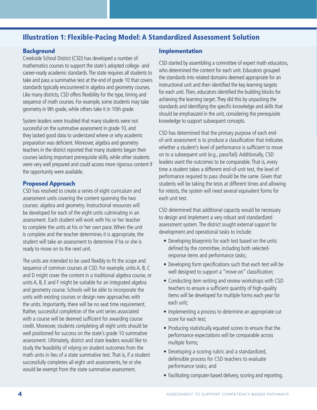### Illustration 1: Flexible-Pacing Model: A Standardized Assessment Solution

#### **Background**

Creekside School District (CSD) has developed a number of mathematics courses to support the state's adopted college- and career-ready academic standards. The state requires all students to take and pass a summative test at the end of grade 10 that covers standards typically encountered in algebra and geometry courses. Like many districts, CSD offers flexibility for the type, timing and sequence of math courses. For example, some students may take geometry in 9th grade, while others take it in 10th grade.

System leaders were troubled that many students were not successful on the summative assessment in grade 10, and they lacked good data to understand where or why academic preparation was deficient. Moreover, algebra and geometry teachers in the district reported that many students began their courses lacking important prerequisite skills, while other students were very well prepared and could access more rigorous content if the opportunity were available.

#### **Proposed Approach**

CSD has resolved to create a series of eight curriculum and assessment units covering the content spanning the two courses: algebra and geometry. Instructional resources will be developed for each of the eight units culminating in an assessment. Each student will work with his or her teacher to complete the units at his or her own pace. When the unit is complete and the teacher determines it is appropriate, the student will take an assessment to determine if he or she is ready to move on to the next unit.

The units are intended to be used flexibly to fit the scope and sequence of common courses at CSD. For example, units A, B, C and D might cover the content in a traditional algebra course, or units A, B, E and F might be suitable for an integrated algebra and geometry course. Schools will be able to incorporate the units with existing courses or design new approaches with the units. Importantly, there will be no seat time requirement. Rather, successful completion of the unit series associated with a course will be deemed sufficient for awarding course credit. Moreover, students completing all eight units should be well positioned for success on the state's grade 10 summative assessment. Ultimately, district and state leaders would like to study the feasibility of relying on student outcomes from the math units in lieu of a state summative test. That is, if a student successfully completes all eight unit assessments, he or she would be exempt from the state summative assessment.

#### **Implementation**

CSD started by assembling a committee of expert math educators, who determined the content for each unit. Educators grouped the standards into related domains deemed appropriate for an instructional unit and then identified the key learning targets for each unit. Then, educators identified the building blocks for achieving the learning target. They did this by unpacking the standards and identifying the specific knowledge and skills that should be emphasized in the unit, considering the prerequisite knowledge to support subsequent concepts.

CSD has determined that the primary purpose of each endof-unit assessment is to produce a classification that indicates whether a student's level of performance is sufficient to move on to a subsequent unit (e.g., pass/fail). Additionally, CSD leaders want the outcomes to be comparable. That is, every time a student takes a different end-of-unit test, the level of performance required to pass should be the same. Given that students will be taking the tests at different times and allowing for retests, the system will need several equivalent forms for each unit test.

CSD determined that additional capacity would be necessary to design and implement a very robust and standardized assessment system. The district sought external support for development and operational tasks to include:

- Developing blueprints for each test based on the units defined by the committee, including both selectedresponse items and performance tasks;
- Developing form specifications such that each test will be well designed to support a "move-on" classification;
- Conducting item writing and review workshops with CSD teachers to ensure a sufficient quantity of high-quality items will be developed for multiple forms each year for each unit;
- Implementing a process to determine an appropriate cut score for each test;
- Producing statistically equated scores to ensure that the performance expectations will be comparable across multiple forms;
- Developing a scoring rubric and a standardized, defensible process for CSD teachers to evaluate performance tasks; and
- Facilitating computer-based delivery, scoring and reporting.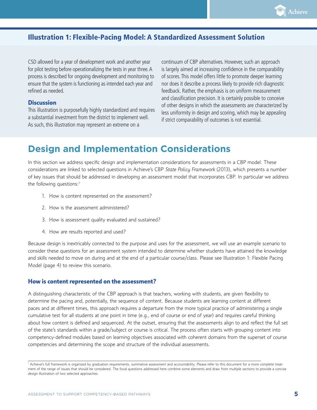

### Illustration 1: Flexible-Pacing Model: A Standardized Assessment Solution

CSD allowed for a year of development work and another year for pilot testing before operationalizing the tests in year three. A process is described for ongoing development and monitoring to ensure that the system is functioning as intended each year and refined as needed.

#### **Discussion**

This illustration is purposefully highly standardized and requires a substantial investment from the district to implement well. As such, this illustration may represent an extreme on a

continuum of CBP alternatives. However, such an approach is largely aimed at increasing confidence in the comparability of scores. This model offers little to promote deeper learning nor does it describe a process likely to provide rich diagnostic feedback. Rather, the emphasis is on uniform measurement and classification precision. It is certainly possible to conceive of other designs in which the assessments are characterized by less uniformity in design and scoring, which may be appealing if strict comparability of outcomes is not essential.

## **Design and Implementation Considerations**

In this section we address specific design and implementation considerations for assessments in a CBP model. These considerations are linked to selected questions in Achieve's CBP *State Policy Framework* (2013), which presents a number of key issues that should be addressed in developing an assessment model that incorporates CBP. In particular we address the following questions: $<sup>1</sup>$ </sup>

- 1. How is content represented on the assessment?
- 2. How is the assessment administered?
- 3. How is assessment quality evaluated and sustained?
- 4. How are results reported and used?

Because design is inextricably connected to the purpose and uses for the assessment, we will use an example scenario to consider these questions for an assessment system intended to determine whether students have attained the knowledge and skills needed to move on during and at the end of a particular course/class. Please see Illustration 1: Flexible Pacing Model (page 4) to review this scenario.

#### **How is content represented on the assessment?**

A distinguishing characteristic of the CBP approach is that teachers, working with students, are given flexibility to determine the pacing and, potentially, the sequence of content. Because students are learning content at different paces and at different times, this approach requires a departure from the more typical practice of administering a single cumulative test for all students at one point in time (e.g., end of course or end of year) and requires careful thinking about how content is defined and sequenced. At the outset, ensuring that the assessments align to and reflect the full set of the state's standards within a grade/subject or course is critical. The process often starts with grouping content into competency-defined modules based on learning objectives associated with coherent domains from the superset of course competencies and determining the scope and structure of the individual assessments.

<sup>1</sup> Achieve's full framework is organized by graduation requirements, summative assessment and accountability. Please refer to this document for a more complete treatment of the range of issues that should be considered. The focal questions addressed here combine some elements and draw from multiple sections to provide a concise design illustration of two selected approaches.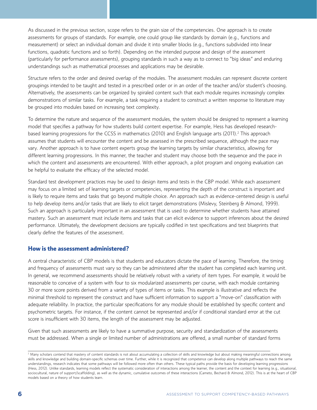As discussed in the previous section, scope refers to the grain size of the competencies. One approach is to create assessments for groups of standards. For example, one could group like standards by domain (e.g., functions and measurement) or select an individual domain and divide it into smaller blocks (e.g., functions subdivided into linear functions, quadratic functions and so forth). Depending on the intended purpose and design of the assessment (particularly for performance assessments), grouping standards in such a way as to connect to "big ideas" and enduring understandings such as mathematical processes and applications may be desirable.

Structure refers to the order and desired overlap of the modules. The assessment modules can represent discrete content groupings intended to be taught and tested in a prescribed order or in an order of the teacher and/or student's choosing. Alternatively, the assessments can be organized by spiraled content such that each module requires increasingly complex demonstrations of similar tasks. For example, a task requiring a student to construct a written response to literature may be grouped into modules based on increasing text complexity.

To determine the nature and sequence of the assessment modules, the system should be designed to represent a learning model that specifies a pathway for how students build content expertise. For example, Hess has developed researchbased learning progressions for the CCSS in mathematics (2010) and English language arts (2011).<sup>2</sup> This approach assumes that students will encounter the content and be assessed in the prescribed sequence, although the pace may vary. Another approach is to have content experts group the learning targets by similar characteristics, allowing for different learning progressions. In this manner, the teacher and student may choose both the sequence and the pace in which the content and assessments are encountered. With either approach, a pilot program and ongoing evaluation can be helpful to evaluate the efficacy of the selected model.

Standard test development practices may be used to design items and tests in the CBP model. While each assessment may focus on a limited set of learning targets or competencies, representing the depth of the construct is important and is likely to require items and tasks that go beyond multiple choice. An approach such as evidence-centered design is useful to help develop items and/or tasks that are likely to elicit target demonstrations (Mislevy, Steinberg & Almond, 1999). Such an approach is particularly important in an assessment that is used to determine whether students have attained mastery. Such an assessment must include items and tasks that can elicit evidence to support inferences about the desired performance. Ultimately, the development decisions are typically codified in test specifications and test blueprints that clearly define the features of the assessment.

#### **How is the assessment administered?**

A central characteristic of CBP models is that students and educators dictate the pace of learning. Therefore, the timing and frequency of assessments must vary so they can be administered after the student has completed each learning unit. In general, we recommend assessments should be relatively robust with a variety of item types. For example, it would be reasonable to conceive of a system with four to six modularized assessments per course, with each module containing 30 or more score points derived from a variety of types of items or tasks. This example is illustrative and reflects the minimal threshold to represent the construct and have sufficient information to support a "move-on" classification with adequate reliability. In practice, the particular specifications for any module should be established by specific content and psychometric targets. For instance, if the content cannot be represented and/or if conditional standard error at the cut score is insufficient with 30 items, the length of the assessment may be adjusted.

Given that such assessments are likely to have a summative purpose, security and standardization of the assessments must be addressed. When a single or limited number of administrations are offered, a small number of standard forms

<sup>2</sup> Many scholars contend that mastery of content standards is not about accumulating a collection of skills and knowledge but about making meaningful connections among skills and knowledge and building domain-specific schemas over time. Further, while it is recognized that competence can develop along multiple pathways to reach the same understandings, research indicates that some pathways will be followed more often than others. These typical paths provide the basis for developing learning progressions (Hess, 2012). Unlike standards, learning models reflect the systematic consideration of interactions among the learner, the content and the context for learning (e.g., situational, sociocultural, nature of support/scaffolding), as well as the dynamic, cumulative outcomes of these interactions (Cameto, Bechard & Almond, 2012). This is at the heart of CBP models based on a theory of how students learn.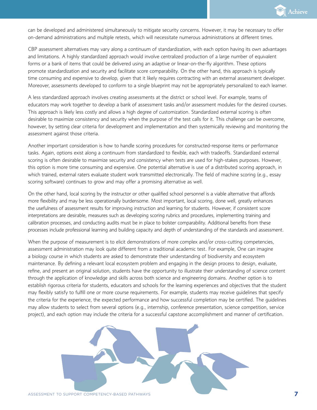

can be developed and administered simultaneously to mitigate security concerns. However, it may be necessary to offer on-demand administrations and multiple retests, which will necessitate numerous administrations at different times.

CBP assessment alternatives may vary along a continuum of standardization, with each option having its own advantages and limitations. A highly standardized approach would involve centralized production of a large number of equivalent forms or a bank of items that could be delivered using an adaptive or linear-on-the-fly algorithm. These options promote standardization and security and facilitate score comparability. On the other hand, this approach is typically time consuming and expensive to develop, given that it likely requires contracting with an external assessment developer. Moreover, assessments developed to conform to a single blueprint may not be appropriately personalized to each learner.

A less standardized approach involves creating assessments at the district or school level. For example, teams of educators may work together to develop a bank of assessment tasks and/or assessment modules for the desired courses. This approach is likely less costly and allows a high degree of customization. Standardized external scoring is often desirable to maximize consistency and security when the purpose of the test calls for it. This challenge can be overcome, however, by setting clear criteria for development and implementation and then systemically reviewing and monitoring the assessment against those criteria.

Another important consideration is how to handle scoring procedures for constructed-response items or performance tasks. Again, options exist along a continuum from standardized to flexible, each with tradeoffs. Standardized external scoring is often desirable to maximize security and consistency when tests are used for high-stakes purposes. However, this option is more time consuming and expensive. One potential alternative is use of a distributed scoring approach, in which trained, external raters evaluate student work transmitted electronically. The field of machine scoring (e.g., essay scoring software) continues to grow and may offer a promising alternative as well.

On the other hand, local scoring by the instructor or other qualified school personnel is a viable alternative that affords more flexibility and may be less operationally burdensome. Most important, local scoring, done well, greatly enhances the usefulness of assessment results for improving instruction and learning for students. However, if consistent score interpretations are desirable, measures such as developing scoring rubrics and procedures, implementing training and calibration processes, and conducting audits must be in place to bolster comparability. Additional benefits from these processes include professional learning and building capacity and depth of understanding of the standards and assessment.

When the purpose of measurement is to elicit demonstrations of more complex and/or cross-cutting competencies, assessment administration may look quite different from a traditional academic test. For example, One can imagine a biology course in which students are asked to demonstrate their understanding of biodiversity and ecosystem maintenance. By defining a relevant local ecosystem problem and engaging in the design process to design, evaluate, refine, and present an original solution, students have the opportunity to illustrate their understanding of science content through the application of knowledge and skills across both science and engineering domains. Another option is to establish rigorous criteria for students, educators and schools for the learning experiences and objectives that the student may flexibly satisfy to fulfill one or more course requirements. For example, students may receive guidelines that specify the criteria for the experience, the expected performance and how successful completion may be certified. The guidelines may allow students to select from several options (e.g., internship, conference presentation, science competition, service project), and each option may include the criteria for a successful capstone accomplishment and manner of certification.

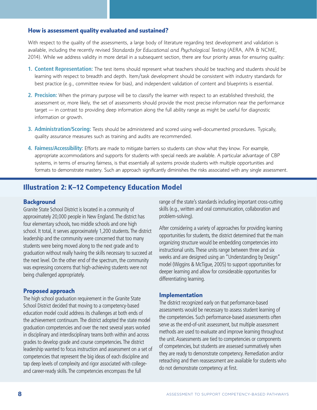#### **How is assessment quality evaluated and sustained?**

With respect to the quality of the assessments, a large body of literature regarding test development and validation is available, including the recently revised *Standards for Educational and Psychological Testing* (AERA, APA & NCME, 2014). While we address validity in more detail in a subsequent section, there are four priority areas for ensuring quality:

- **1. Content Representation:** The test items should represent what teachers should be teaching and students should be learning with respect to breadth and depth. Item/task development should be consistent with industry standards for best practice (e.g., committee review for bias), and independent validation of content and blueprints is essential.
- **2. Precision:** When the primary purpose will be to classify the learner with respect to an established threshold, the assessment or, more likely, the set of assessments should provide the most precise information near the performance target — in contrast to providing deep information along the full ability range as might be useful for diagnostic information or growth.
- **3. Administration/Scoring:** Tests should be administered and scored using well-documented procedures. Typically, quality assurance measures such as training and audits are recommended.
- **4. Fairness/Accessibility:** Efforts are made to mitigate barriers so students can show what they know. For example, appropriate accommodations and supports for students with special needs are available. A particular advantage of CBP systems, in terms of ensuring fairness, is that essentially all systems provide students with multiple opportunities and formats to demonstrate mastery. Such an approach significantly diminishes the risks associated with any single assessment.

### Illustration 2: K–12 Competency Education Model

#### **Background**

Granite State School District is located in a community of approximately 20,000 people in New England. The district has four elementary schools, two middle schools and one high school. It total, it serves approximately 1,200 students. The district leadership and the community were concerned that too many students were being moved along to the next grade and to graduation without really having the skills necessary to succeed at the next level. On the other end of the spectrum, the community was expressing concerns that high-achieving students were not being challenged appropriately.

#### **Proposed approach**

The high school graduation requirement in the Granite State School District decided that moving to a competency-based education model could address its challenges at both ends of the achievement continuum. The district adopted the state model graduation competencies and over the next several years worked in disciplinary and interdisciplinary teams both within and across grades to develop grade and course competencies. The district leadership wanted to focus instruction and assessment on a set of competencies that represent the big ideas of each discipline and tap deep levels of complexity and rigor associated with collegeand career-ready skills. The competencies encompass the full

range of the state's standards including important cross-cutting skills (e.g., written and oral communication, collaboration and problem-solving).

After considering a variety of approaches for providing learning opportunities for students, the district determined that the main organizing structure would be embedding competencies into instructional units. These units range between three and six weeks and are designed using an "Understanding by Design" model (Wiggins & McTigue, 2005) to support opportunities for deeper learning and allow for considerable opportunities for differentiating learning.

#### **Implementation**

The district recognized early on that performance-based assessments would be necessary to assess student learning of the competencies. Such performance-based assessments often serve as the end-of-unit assessment, but multiple assessment methods are used to evaluate and improve learning throughout the unit. Assessments are tied to competencies or components of competencies, but students are assessed summatively when they are ready to demonstrate competency. Remediation and/or reteaching and then reassessment are available for students who do not demonstrate competency at first.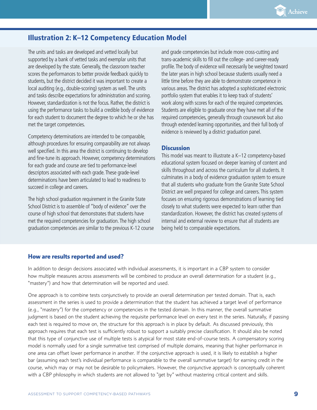

### Illustration 2: K–12 Competency Education Model

The units and tasks are developed and vetted locally but supported by a bank of vetted tasks and exemplar units that are developed by the state. Generally, the classroom teacher scores the performances to better provide feedback quickly to students, but the district decided it was important to create a local auditing (e.g., double-scoring) system as well. The units and tasks describe expectations for administration and scoring. However, standardization is not the focus. Rather, the district is using the performance tasks to build a credible body of evidence for each student to document the degree to which he or she has met the target competencies.

Competency determinations are intended to be comparable, although procedures for ensuring comparability are not always well specified. In this area the district is continuing to develop and fine-tune its approach. However, competency determinations for each grade and course are tied to performance-level descriptors associated with each grade. These grade-level determinations have been articulated to lead to readiness to succeed in college and careers.

The high school graduation requirement in the Granite State School District is to assemble of "body of evidence" over the course of high school that demonstrates that students have met the required competencies for graduation. The high school graduation competencies are similar to the previous K-12 course and grade competencies but include more cross-cutting and trans-academic skills to fill out the college- and career-ready profile. The body of evidence will necessarily be weighted toward the later years in high school because students usually need a little time before they are able to demonstrate competence in various areas. The district has adopted a sophisticated electronic portfolio system that enables it to keep track of students' work along with scores for each of the required competencies. Students are eligible to graduate once they have met all of the required competencies, generally through coursework but also through extended learning opportunities, and their full body of evidence is reviewed by a district graduation panel.

#### **Discussion**

This model was meant to illustrate a K–12 competency-based educational system focused on deeper learning of content and skills throughout and across the curriculum for all students. It culminates in a body of evidence graduation system to ensure that all students who graduate from the Granite State School District are well prepared for college and careers. This system focuses on ensuring rigorous demonstrations of learning tied closely to what students were expected to learn rather than standardization. However, the district has created systems of internal and external review to ensure that all students are being held to comparable expectations.

#### **How are results reported and used?**

In addition to design decisions associated with individual assessments, it is important in a CBP system to consider how multiple measures across assessments will be combined to produce an overall determination for a student (e.g., "mastery") and how that determination will be reported and used.

One approach is to combine tests conjunctively to provide an overall determination per tested domain. That is, each assessment in the series is used to provide a determination that the student has achieved a target level of performance (e.g., "mastery") for the competency or competencies in the tested domain. In this manner, the overall summative judgment is based on the student achieving the requisite performance level on every test in the series. Naturally, if passing each test is required to move on, the structure for this approach is in place by default. As discussed previously, this approach requires that each test is sufficiently robust to support a suitably precise classification. It should also be noted that this type of conjunctive use of multiple tests is atypical for most state end-of-course tests. A compensatory scoring model is normally used for a single summative test comprised of multiple domains, meaning that higher performance in one area can offset lower performance in another. If the conjunctive approach is used, it is likely to establish a higher bar (assuming each test's individual performance is comparable to the overall summative target) for earning credit in the course, which may or may not be desirable to policymakers. However, the conjunctive approach is conceptually coherent with a CBP philosophy in which students are not allowed to "get by" without mastering critical content and skills.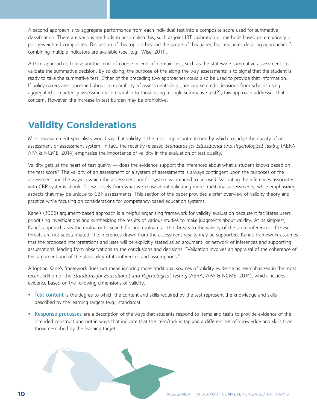A second approach is to aggregate performance from each individual test into a composite score used for summative classification. There are various methods to accomplish this, such as joint IRT calibration or methods based on empirically or policy-weighted composites. Discussion of this topic is beyond the scope of this paper, but resources detailing approaches for combining multiple indicators are available (see, e.g., Wise, 2011).

A third approach is to use another end-of-course or end-of-domain test, such as the statewide summative assessment, to validate the summative decision. By so doing, the purpose of the along-the-way assessments is to signal that the student is ready to take the summative test. Either of the preceding two approaches could also be used to provide that information. If policymakers are concerned about comparability of assessments (e.g., are course credit decisions from schools using aggregated competency assessments comparable to those using a single summative test?), this approach addresses that concern. However, the increase in test burden may be prohibitive.

# **Validity Considerations**

Most measurement specialists would say that validity is the most important criterion by which to judge the quality of an assessment or assessment system. In fact, the recently released *Standards for Educational and Psychological Testing* (AERA, APA & NCME, 2014) emphasize the importance of validity in the evaluation of test quality.

Validity gets at the heart of test quality — does the evidence support the inferences about what a student knows based on the test score? The validity of an assessment or a system of assessments is always contingent upon the purposes of the assessment and the ways in which the assessment and/or system is intended to be used. Validating the inferences associated with CBP systems should follow closely from what we know about validating more traditional assessments, while emphasizing aspects that may be unique to CBP assessments. This section of the paper provides a brief overview of validity theory and practice while focusing on considerations for competency-based education systems.

Kane's (2006) argument-based approach is a helpful organizing framework for validity evaluation because it facilitates users prioritizing investigations and synthesizing the results of various studies to make judgments about validity. At its simplest, Kane's approach asks the evaluator to search for and evaluate all the threats to the validity of the score inferences. If these threats are not substantiated, the inferences drawn from the assessment results may be supported. Kane's framework assumes that the proposed interpretations and uses will be explicitly stated as an argument, or network of inferences and supporting assumptions, leading from observations to the conclusions and decisions. "Validation involves an appraisal of the coherence of this argument and of the plausibility of its inferences and assumptions."

Adopting Kane's framework does not mean ignoring more traditional sources of validity evidence as reemphasized in the most recent edition of the *Standards for Educational and Psychological Testing* (AERA, APA & NCME, 2014), which includes evidence based on the following dimensions of validity.

- **Test content** is the degree to which the content and skills required by the test represent the knowledge and skills described by the learning targets (e.g., standards).
- **Response processes** are a description of the ways that students respond to items and tasks to provide evidence of the intended construct and not in ways that indicate that the item/task is tapping a different set of knowledge and skills than those described by the learning target.

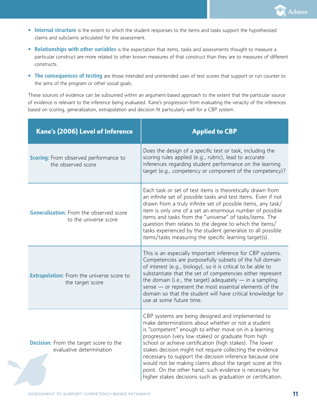

- **Internal structure** is the extent to which the student responses to the items and tasks support the hypothesized claims and subclaims articulated for the assessment.
- **Relationships with other variables** is the expectation that items, tasks and assessments thought to measure a particular construct are more related to other known measures of that construct than they are to measures of different constructs.
- **The consequences of testing** are those intended and unintended uses of test scores that support or run counter to the aims of the program or other social goals.

These sources of evidence can be subsumed within an argument-based approach to the extent that the particular source of evidence is relevant to the inference being evaluated. Kane's progression from evaluating the veracity of the inferences based on scoring, generalization, extrapolation and decision fit particularly well for a CBP system.

| Kane's (2006) Level of Inference                                          | <b>Applied to CBP</b>                                                                                                                                                                                                                                                                                                                                                                                                                                                                                                                                                                                |
|---------------------------------------------------------------------------|------------------------------------------------------------------------------------------------------------------------------------------------------------------------------------------------------------------------------------------------------------------------------------------------------------------------------------------------------------------------------------------------------------------------------------------------------------------------------------------------------------------------------------------------------------------------------------------------------|
| <b>Scoring:</b> From observed performance to<br>the observed score        | Does the design of a specific test or task, including the<br>scoring rules applied (e.g., rubric), lead to accurate<br>inferences regarding student performance on the learning<br>target (e.g., competency or component of the competency)?                                                                                                                                                                                                                                                                                                                                                         |
| <b>Generalization:</b> From the observed score<br>to the universe score   | Each task or set of test items is theoretically drawn from<br>an infinite set of possible tasks and test items. Even if not<br>drawn from a truly infinite set of possible items, any task/<br>item is only one of a set an enormous number of possible<br>items and tasks from the "universe" of tasks/items. The<br>question then relates to the degree to which the items/<br>tasks experienced by the student generalize to all possible<br>items/tasks measuring the specific learning target(s).                                                                                               |
| <b>Extrapolation:</b> From the universe score to<br>the target score      | This is an especially important inference for CBP systems.<br>Competencies are purposefully subsets of the full domain<br>of interest (e.g., biology), so it is critical to be able to<br>substantiate that the set of competencies either represent<br>the domain (i.e., the target) adequately $-$ in a sampling<br>sense - or represent the most essential elements of the<br>domain so that the student will have critical knowledge for<br>use at some future time.                                                                                                                             |
| <b>Decision:</b> From the target score to the<br>evaluative determination | CBP systems are being designed and implemented to<br>make determinations about whether or not a student<br>is "competent" enough to either move on in a learning<br>progression (very low stakes) or graduate from high<br>school or achieve certification (high stakes). The lower<br>stakes decision might not require collecting the evidence<br>necessary to support the decision inference because one<br>would not be making claims about the target score at this<br>point. On the other hand, such evidence is necessary for<br>higher stakes decisions such as graduation or certification. |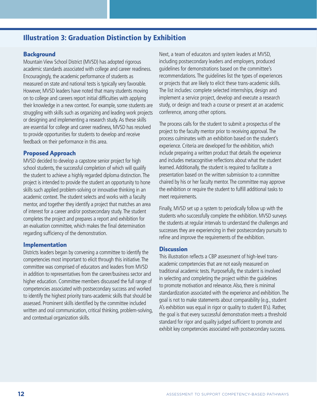### Illustration 3: Graduation Distinction by Exhibition

#### **Background**

Mountain View School District (MVSD) has adopted rigorous academic standards associated with college and career readiness. Encouragingly, the academic performance of students as measured on state and national tests is typically very favorable. However, MVSD leaders have noted that many students moving on to college and careers report initial difficulties with applying their knowledge in a new context. For example, some students are struggling with skills such as organizing and leading work projects or designing and implementing a research study. As these skills are essential for college and career readiness, MVSD has resolved to provide opportunities for students to develop and receive feedback on their performance in this area.

#### **Proposed Approach**

MVSD decided to develop a capstone senior project for high school students, the successful completion of which will qualify the student to achieve a highly regarded diploma distinction. The project is intended to provide the student an opportunity to hone skills such applied problem-solving or innovative thinking in an academic context. The student selects and works with a faculty mentor, and together they identify a project that matches an area of interest for a career and/or postsecondary study. The student completes the project and prepares a report and exhibition for an evaluation committee, which makes the final determination regarding sufficiency of the demonstration.

#### **Implementation**

Districts leaders began by convening a committee to identify the competencies most important to elicit through this initiative. The committee was comprised of educators and leaders from MVSD in addition to representatives from the career/business sector and higher education. Committee members discussed the full range of competencies associated with postsecondary success and worked to identify the highest priority trans-academic skills that should be assessed. Prominent skills identified by the committee included written and oral communication, critical thinking, problem-solving, and contextual organization skills.

Next, a team of educators and system leaders at MVSD, including postsecondary leaders and employers, produced guidelines for demonstrations based on the committee's recommendations. The guidelines list the types of experiences or projects that are likely to elicit these trans-academic skills. The list includes: complete selected internships, design and implement a service project, develop and execute a research study, or design and teach a course or present at an academic conference, among other options.

The process calls for the student to submit a prospectus of the project to the faculty mentor prior to receiving approval. The process culminates with an exhibition based on the student's experience. Criteria are developed for the exhibition, which include preparing a written product that details the experience and includes metacognitive reflections about what the student learned. Additionally, the student is required to facilitate a presentation based on the written submission to a committee chaired by his or her faculty mentor. The committee may approve the exhibition or require the student to fulfill additional tasks to meet requirements.

Finally, MVSD set up a system to periodically follow up with the students who successfully complete the exhibition. MVSD surveys the students at regular intervals to understand the challenges and successes they are experiencing in their postsecondary pursuits to refine and improve the requirements of the exhibition.

#### **Discussion**

This illustration reflects a CBP assessment of high-level transacademic competencies that are not easily measured on traditional academic tests. Purposefully, the student is involved in selecting and completing the project within the guidelines to promote motivation and relevance. Also, there is minimal standardization associated with the experience and exhibition. The goal is not to make statements about comparability (e.g., student A's exhibition was equal in rigor or quality to student B's). Rather, the goal is that every successful demonstration meets a threshold standard for rigor and quality judged sufficient to promote and exhibit key competencies associated with postsecondary success.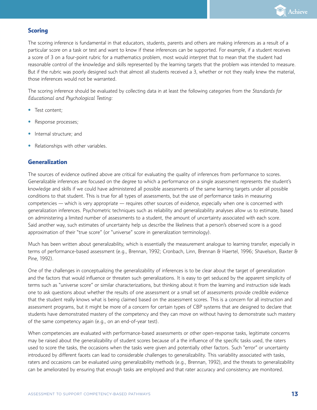

#### **Scoring**

The scoring inference is fundamental in that educators, students, parents and others are making inferences as a result of a particular score on a task or test and want to know if these inferences can be supported. For example, if a student receives a score of 3 on a four-point rubric for a mathematics problem, most would interpret that to mean that the student had reasonable control of the knowledge and skills represented by the learning targets that the problem was intended to measure. But if the rubric was poorly designed such that almost all students received a 3, whether or not they really knew the material, those inferences would not be warranted.

The scoring inference should be evaluated by collecting data in at least the following categories from the *Standards for Educational and Psychological Testing:*

- **•** Test content;
- **•** Response processes;
- **•** Internal structure; and
- **•** Relationships with other variables.

#### **Generalization**

The sources of evidence outlined above are critical for evaluating the quality of inferences from performance to scores. Generalizable inferences are focused on the degree to which a performance on a single assessment represents the student's knowledge and skills if we could have administered all possible assessments of the same learning targets under all possible conditions to that student. This is true for all types of assessments, but the use of performance tasks in measuring competencies — which is very appropriate — requires other sources of evidence, especially when one is concerned with generalization inferences. Psychometric techniques such as reliability and generalizability analyses allow us to estimate, based on administering a limited number of assessments to a student, the amount of uncertainty associated with each score. Said another way, such estimates of uncertainty help us describe the likeliness that a person's observed score is a good approximation of their "true score" (or "universe" score in generalization terminology).

Much has been written about generalizability, which is essentially the measurement analogue to learning transfer, especially in terms of performance-based assessment (e.g., Brennan, 1992; Cronbach, Linn, Brennan & Haertel, 1996; Shavelson, Baxter & Pine, 1992).

One of the challenges in conceptualizing the generalizability of inferences is to be clear about the target of generalization and the factors that would influence or threaten such generalizations. It is easy to get seduced by the apparent simplicity of terms such as "universe score" or similar characterizations, but thinking about it from the learning and instruction side leads one to ask questions about whether the results of one assessment or a small set of assessments provide credible evidence that the student really knows what is being claimed based on the assessment scores. This is a concern for all instruction and assessment programs, but it might be more of a concern for certain types of CBP systems that are designed to declare that students have demonstrated mastery of the competency and they can move on without having to demonstrate such mastery of the same competency again (e.g., on an end-of-year test).

When competencies are evaluated with performance-based assessments or other open-response tasks, legitimate concerns may be raised about the generalizability of student scores because of a the influence of the specific tasks used, the raters used to score the tasks, the occasions when the tasks were given and potentially other factors. Such "error" or uncertainty introduced by different facets can lead to considerable challenges to generalizability. This variability associated with tasks, raters and occasions can be evaluated using generalizability methods (e.g., Brennan, 1992), and the threats to generalizability can be ameliorated by ensuring that enough tasks are employed and that rater accuracy and consistency are monitored.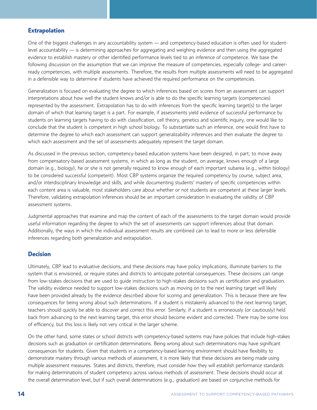#### **Extrapolation**

One of the biggest challenges in any accountability system — and competency-based education is often used for studentlevel accountability — is determining approaches for aggregating and weighing evidence and then using the aggregated evidence to establish mastery or other identified performance levels tied to an inference of competence. We base the following discussion on the assumption that we can improve the measure of competencies, especially college- and careerready competencies, with multiple assessments. Therefore, the results from multiple assessments will need to be aggregated in a defensible way to determine if students have achieved the required performance on the competencies.

Generalization is focused on evaluating the degree to which inferences based on scores from an assessment can support interpretations about how well the student knows and/or is able to do the specific learning targets (competencies) represented by the assessment. Extrapolation has to do with inferences from the specific learning target(s) to the larger domain of which that learning target is a part. For example, if assessments yield evidence of successful performance by students on learning targets having to do with classification, cell theory, genetics and scientific inquiry, one would like to conclude that the student is competent in high school biology. To substantiate such an inference, one would first have to determine the degree to which each assessment can support generalizability inferences and then evaluate the degree to which each assessment and the set of assessments adequately represent the target domain.

As discussed in the previous section, competency-based education systems have been designed, in part, to move away from compensatory-based assessment systems, in which as long as the student, on average, knows enough of a large domain (e.g., biology), he or she is not generally required to know enough of each important subarea (e.g., within biology) to be considered successful (competent). Most CBP systems organize the required competency by course, subject area, and/or interdisciplinary knowledge and skills, and while documenting students' mastery of specific competencies within each content area is valuable, most stakeholders care about whether or not students are competent at these larger levels. Therefore, validating extrapolation inferences should be an important consideration in evaluating the validity of CBP assessment systems.

Judgmental approaches that examine and map the content of each of the assessments to the target domain would provide useful information regarding the degree to which the set of assessments can support inferences about that domain. Additionally, the ways in which the individual assessment results are combined can to lead to more or less defensible inferences regarding both generalization and extrapolation.

#### **Decision**

Ultimately, CBP lead to evaluative decisions, and these decisions may have policy implications, illuminate barriers to the system that is envisioned, or require states and districts to anticipate potential consequences. These decisions can range from low-stakes decisions that are used to guide instruction to high-stakes decisions such as certification and graduation. The validity evidence needed to support low-stakes decisions such as moving on to the next learning target will likely have been provided already by the evidence described above for scoring and generalization. This is because there are few consequences for being wrong about such determinations. If a student is mistakenly advanced to the next learning target, teachers should quickly be able to discover and correct this error. Similarly, if a student is erroneously (or cautiously) held back from advancing to the next learning target, this error should become evident and corrected. There may be some loss of efficiency, but this loss is likely not very critical in the larger scheme.

On the other hand, some states or school districts with competency-based systems may have policies that include high-stakes decisions such as graduation or certification determinations. Being wrong about such determinations may have significant consequences for students. Given that students in a competency-based learning environment should have flexibility to demonstrate mastery through various methods of assessment, it is more likely that these decisions are being made using multiple assessment measures. States and districts, therefore, must consider how they will establish performance standards for making determinations of student competency across various methods of assessment. These decisions should occur at the overall determination level, but if such overall determinations (e.g., graduation) are based on conjunctive methods for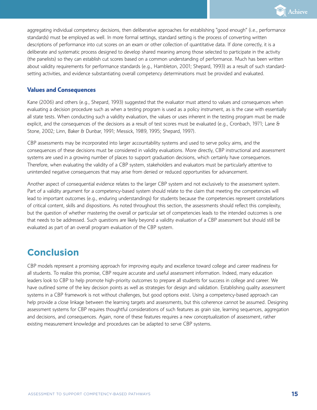

aggregating individual competency decisions, then deliberative approaches for establishing "good enough" (i.e., performance standards) must be employed as well. In more formal settings, standard setting is the process of converting written descriptions of performance into cut scores on an exam or other collection of quantitative data. If done correctly, it is a deliberate and systematic process designed to develop shared meaning among those selected to participate in the activity (the panelists) so they can establish cut scores based on a common understanding of performance. Much has been written about validity requirements for performance standards (e.g., Hambleton, 2001; Shepard, 1993) as a result of such standardsetting activities, and evidence substantiating overall competency determinations must be provided and evaluated.

#### **Values and Consequences**

Kane (2006) and others (e.g., Shepard, 1993) suggested that the evaluator must attend to values and consequences when evaluating a decision procedure such as when a testing program is used as a policy instrument, as is the case with essentially all state tests. When conducting such a validity evaluation, the values or uses inherent in the testing program must be made explicit, and the consequences of the decisions as a result of test scores must be evaluated (e.g., Cronbach, 1971; Lane & Stone, 2002; Linn, Baker & Dunbar, 1991; Messick, 1989, 1995; Shepard, 1997).

CBP assessments may be incorporated into larger accountability systems and used to serve policy aims, and the consequences of these decisions must be considered in validity evaluations. More directly, CBP instructional and assessment systems are used in a growing number of places to support graduation decisions, which certainly have consequences. Therefore, when evaluating the validity of a CBP system, stakeholders and evaluators must be particularly attentive to unintended negative consequences that may arise from denied or reduced opportunities for advancement.

Another aspect of consequential evidence relates to the larger CBP system and not exclusively to the assessment system. Part of a validity argument for a competency-based system should relate to the claim that meeting the competencies will lead to important outcomes (e.g., enduring understandings) for students because the competencies represent constellations of critical content, skills and dispositions. As noted throughout this section, the assessments should reflect this complexity, but the question of whether mastering the overall or particular set of competencies leads to the intended outcomes is one that needs to be addressed. Such questions are likely beyond a validity evaluation of a CBP assessment but should still be evaluated as part of an overall program evaluation of the CBP system.

### **Conclusion**

CBP models represent a promising approach for improving equity and excellence toward college and career readiness for all students. To realize this promise, CBP require accurate and useful assessment information. Indeed, many education leaders look to CBP to help promote high-priority outcomes to prepare all students for success in college and career. We have outlined some of the key decision points as well as strategies for design and validation. Establishing quality assessment systems in a CBP framework is not without challenges, but good options exist. Using a competency-based approach can help provide a close linkage between the learning targets and assessments, but this coherence cannot be assumed. Designing assessment systems for CBP requires thoughtful considerations of such features as grain size, learning sequences, aggregation and decisions, and consequences. Again, none of these features requires a new conceptualization of assessment, rather existing measurement knowledge and procedures can be adapted to serve CBP systems.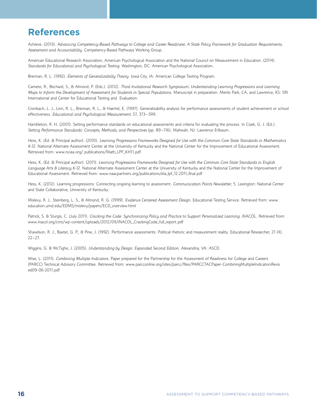# **References**

Achieve. (2013). *Advancing Competency-Based Pathways to College and Career Readiness: A State Policy Framework for Graduation Requirements, Assessment and Accountability.* Competency-Based Pathways Working Group.

American Educational Research Association, American Psychological Association and the National Council on Measurement in Education. (2014). *Standards for Educational and Psychological Testing*. Washington, DC: American Psychological Association.

Brennan, R. L. (1992). *Elements of Generalizability Theory*. Iowa City, IA: American College Testing Program.

Cameto, R., Bechard, S., & Almond, P. (Eds.). (2012). *Third Invitational Research Symposium: Understanding Learning Progressions and Learning Maps to Inform the Development of Assessment for Students in Special Populations*. Manuscript in preparation. Menlo Park, CA, and Lawrence, KS: SRI International and Center for Educational Testing and Evaluation.

Cronbach, L. J., Linn, R. L., Brennan, R. L., & Haertel, E. (1997). Generalizability analysis for performance assessments of student achievement or school effectiveness. *Educational and Psychological Measurement*, 57, 373–399.

Hambleton, R. H. (2001). Setting performance standards on educational assessments and criteria for evaluating the process. In Cizek, G. J. (Ed.). *Setting Performance Standards: Concepts, Methods, and Perspectives* (pp. 89–116). Mahwah, NJ: Lawrence Erlbaum.

Hess, K. (Ed. & Principal author). (2010). *Learning Progressions Frameworks Designed for Use with the Common Core State Standards in Mathematics K-12*. National Alternate Assessment Center at the University of Kentucky and the National Center for the Improvement of Educational Assessment. Retrieved from: www.nciea.org/ publications/Math\_LPF\_KH11.pdf

Hess, K. (Ed. & Principal author). (2011). *Learning Progressions Frameworks Designed for Use with the Common Core State Standards in English Language Arts & Literacy K-12*. National Alternate Assessment Center at the University of Kentucky and the National Center for the Improvement of Educational Assessment. Retrieved from: www.naacpartners.org/publications/ela\_lpf\_12.2011\_final.pdf

Hess, K. (2012). Learning progressions: Connecting ongoing learning to assessment. *Communication Points Newsletter*, 5. Lexington: National Center and State Collaborative, University of Kentucky.

Mislevy, R. J., Steinberg, L. S., & Almond, R. G. (1999). *Evidence Centered Assessment Design*. Educational Testing Service. Retrieved from: www. education.umd.edu/EDMS/mislevy/papers/ECD\_overview.html

Patrick, S. & Sturgis, C. (July 2011). *Cracking the Code: Synchronizing Policy and Practice to Support Personalized Learning*. *iNACOL*. Retrieved from: www.inacol.org/cms/wp-content/uploads/2012/09/iNACOL\_CrackingCode\_full\_report.pdf

Shavelson, R. J., Baxter, G. P., & Pine, J. (1992). Performance assessments: Political rhetoric and measurement reality. Educational Researcher, 21 (4), 22–27.

Wiggins, G. & McTighe, J. (2005). *Understanding by Design: Expanded Second Edition*. Alexandria, VA: ASCD.

Wise, L. (2011). *Combining Multiple Indicators*. Paper prepared for the Partnership for the Assessment of Readiness for College and Careers (PARCC) Technical Advisory Committee. Retrieved from: www.parcconline.org/sites/parcc/files/PARCCTACPaper-CombiningMultipleIndicatorsRevis ed09-06-2011.pdf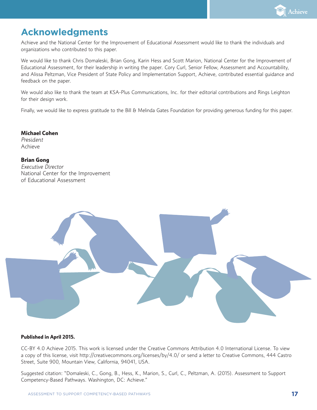

# **Acknowledgments**

Achieve and the National Center for the Improvement of Educational Assessment would like to thank the individuals and organizations who contributed to this paper.

We would like to thank Chris Domaleski, Brian Gong, Karin Hess and Scott Marion, National Center for the Improvement of Educational Assessment, for their leadership in writing the paper. Cory Curl, Senior Fellow, Assessment and Accountability, and Alissa Peltzman, Vice President of State Policy and Implementation Support, Achieve, contributed essential guidance and feedback on the paper.

We would also like to thank the team at KSA-Plus Communications, Inc. for their editorial contributions and Rings Leighton for their design work.

Finally, we would like to express gratitude to the Bill & Melinda Gates Foundation for providing generous funding for this paper.

**Michael Cohen** *President*

Achieve

#### **Brian Gong**

*Executive Director* National Center for the Improvement of Educational Assessment



#### **Published in April 2015.**

CC-BY 4.0 Achieve 2015. This work is licensed under the Creative Commons Attribution 4.0 International License. To view a copy of this license, visit http://creativecommons.org/licenses/by/4.0/ or send a letter to Creative Commons, 444 Castro Street, Suite 900, Mountain View, California, 94041, USA.

Suggested citation: "Domaleski, C., Gong, B., Hess, K., Marion, S., Curl, C., Peltzman, A. (2015). Assessment to Support Competency-Based Pathways. Washington, DC: Achieve."